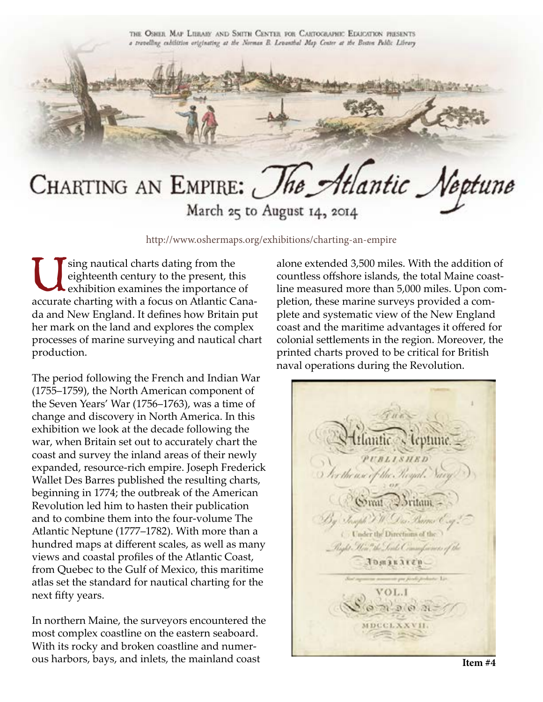

CHARTING AN EMPIRE: The Atlantic Neptune

March 25 to August 14, 2014

http://www.oshermaps.org/exhibitions/charting-an-empire

Using nautical charts dating from the<br>eighteenth century to the present, the<br>exhibition examines the importance eighteenth century to the present, this exhibition examines the importance of accurate charting with a focus on Atlantic Canada and New England. It defines how Britain put her mark on the land and explores the complex processes of marine surveying and nautical chart production.

The period following the French and Indian War (1755–1759), the North American component of the Seven Years' War (1756–1763), was a time of change and discovery in North America. In this exhibition we look at the decade following the war, when Britain set out to accurately chart the coast and survey the inland areas of their newly expanded, resource-rich empire. Joseph Frederick Wallet Des Barres published the resulting charts, beginning in 1774; the outbreak of the American Revolution led him to hasten their publication and to combine them into the four-volume The Atlantic Neptune (1777–1782). With more than a hundred maps at different scales, as well as many views and coastal profiles of the Atlantic Coast, from Quebec to the Gulf of Mexico, this maritime atlas set the standard for nautical charting for the next fifty years.

In northern Maine, the surveyors encountered the most complex coastline on the eastern seaboard. With its rocky and broken coastline and numerous harbors, bays, and inlets, the mainland coast

alone extended 3,500 miles. With the addition of countless offshore islands, the total Maine coastline measured more than 5,000 miles. Upon completion, these marine surveys provided a complete and systematic view of the New England coast and the maritime advantages it offered for colonial settlements in the region. Moreover, the printed charts proved to be critical for British naval operations during the Revolution.

**UBLISHED** I for the use of the Royal. Somat Cortain Joseph J. W. Las, Barras C. Under the Directions of the Anghê Mên Wêr Tends CenomyCaerness of the Jomesenep. of andere Lis VOL.I  $071.9071$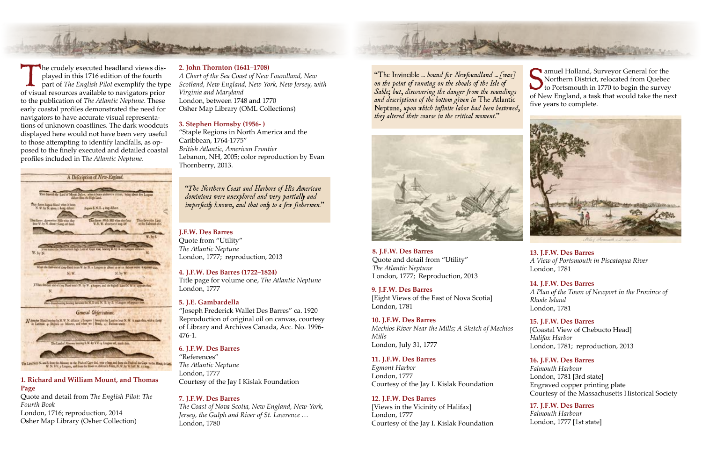# **1. Richard and William Mount, and Thomas Page**

Quote and detail from *The English Pilot: The Fourth Book* London, 1716; reproduction, 2014 Osher Map Library (Osher Collection)

## **2. John Thornton (1641–1708)**

*A Chart of the Sea Coast of New Foundland, New Scotland, New England, New York, New Jersey, with Virginia and Maryland* London, between 1748 and 1770 Osher Map Library (OML Collections)

# **3. Stephen Hornsby (1956- )**

"Staple Regions in North America and the Caribbean, 1764-1775" *British Atlantic, American Frontier* Lebanon, NH, 2005; color reproduction by Evan Thornberry, 2013.

#### **7. J.F.W. Des Barres**

*The Coast of Nova Scotia, New England, New-York, Jersey, the Gulph and River of St. Lawrence …* London, 1780

# **5. J.E. Gambardella**

"Joseph Frederick Wallet Des Barres" ca. 1920 Reproduction of original oil on canvas, courtesy of Library and Archives Canada, Acc. No. 1996- 476-1.

# **11. J.F.W. Des Barres**

*Egmont Harbor* London, 1777 Courtesy of the Jay I. Kislak Foundation

# **12. J.F.W. Des Barres**

[Views in the Vicinity of Halifax] London, 1777 Courtesy of the Jay I. Kislak Foundation

**15. J.F.W. Des Barres** [Coastal View of Chebucto Head] *Halifax Harbor* London, 1781; reproduction, 2013

#### **9. J.F.W. Des Barres** [Eight Views of the East of Nova Scotia]

London, 1781

**8. J.F.W. Des Barres** Quote and detail from "Utility" *The Atlantic Neptune* London, 1777; Reproduction, 2013 **4. J.F.W. Des Barres (1722–1824)**

Title page for volume one, *The Atlantic Neptune* London, 1777



The crudely executed headland views dis-<br>played in this 1716 edition of the fourth<br>part of *The English Pilot* exemplify the type played in this 1716 edition of the fourth of visual resources available to navigators prior to the publication of *The Atlantic Neptune*. These early coastal profiles demonstrated the need for navigators to have accurate visual representations of unknown coastlines. The dark woodcuts displayed here would not have been very useful to those attempting to identify landfalls, as opposed to the finely executed and detailed coastal profiles included in T*he Atlantic Neptune*.



## **6. J.F.W. Des Barres**

"References" *The Atlantic Neptune* London, 1777 Courtesy of the Jay I Kislak Foundation

# **10. J.F.W. Des Barres**

*Mechios River Near the Mills; A Sketch of Mechios Mills* London, July 31, 1777

Samuel Holland, Surveyor General for the<br>
Northern District, relocated from Quebec<br>
to Portsmouth in 1770 to begin the survey<br>
of Nov England, a task that would take the nov **amuel Holland, Surveyor General for the** Northern District, relocated from Quebec of New England, a task that would take the next five years to complete.



# **14. J.F.W. Des Barres**

*A Plan of the Town of Newport in the Province of Rhode Island* London, 1781

**13. J.F.W. Des Barres**  *A View of Portsmouth in Piscataqua River* London, 1781

*"*The Invincible *... bound for Newfoundland ... [was] on the point of running on the shoals of the Isle of Sable; but, discovering the danger from the soundings and descriptions of the bottom given in* The Atlantic Neptune*, upon which infinite labor had been bestowed, they altered their course in the critical moment."*



*"The Northern Coast and Harbors of His American dominions were unexplored and very partially and imperfectly known, and that only to a few fishermen."*

> **16. J.F.W. Des Barres** *Falmouth Harbour*  London, 1781 [3rd state] Engraved copper printing plate Courtesy of the Massachusetts Historical Society

# **17. J.F.W. Des Barres**

*Falmouth Harbour* London, 1777 [1st state]

#### **J.F.W. Des Barres**

Quote from "Utility" *The Atlantic Neptune* London, 1777; reproduction, 2013